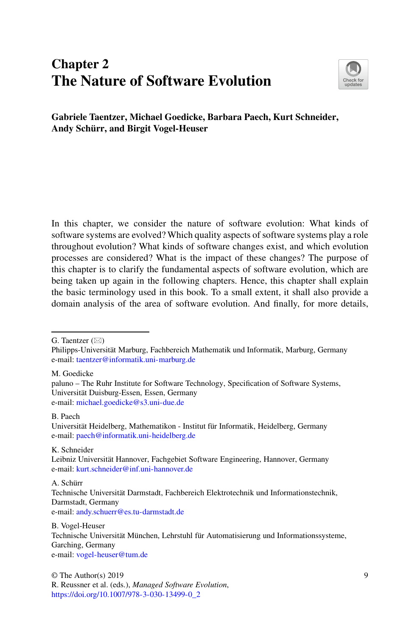# **Chapter 2 The Nature of Software Evolution**



**Gabriele Taentzer, Michael Goedicke, Barbara Paech, Kurt Schneider, Andy Schürr, and Birgit Vogel-Heuser**

In this chapter, we consider the nature of software evolution: What kinds of software systems are evolved? Which quality aspects of software systems play a role throughout evolution? What kinds of software changes exist, and which evolution processes are considered? What is the impact of these changes? The purpose of this chapter is to clarify the fundamental aspects of software evolution, which are being taken up again in the following chapters. Hence, this chapter shall explain the basic terminology used in this book. To a small extent, it shall also provide a domain analysis of the area of software evolution. And finally, for more details,

G. Taentzer  $(\boxtimes)$ 

M. Goedicke

#### B. Paech

K. Schneider

A. Schürr Technische Universität Darmstadt, Fachbereich Elektrotechnik und Informationstechnik, Darmstadt, Germany e-mail: [andy.schuerr@es.tu-darmstadt.de](mailto:andy.schuerr@es.tu-darmstadt.de)

B. Vogel-Heuser Technische Universität München, Lehrstuhl für Automatisierung und Informationssysteme, Garching, Germany e-mail: [vogel-heuser@tum.de](mailto:vogel-heuser@tum.de)

Philipps-Universität Marburg, Fachbereich Mathematik und Informatik, Marburg, Germany e-mail: [taentzer@informatik.uni-marburg.de](mailto:taentzer@informatik.uni-marburg.de)

paluno – The Ruhr Institute for Software Technology, Specification of Software Systems, Universität Duisburg-Essen, Essen, Germany e-mail: [michael.goedicke@s3.uni-due.de](mailto:michael.goedicke@s3.uni-due.de)

Universität Heidelberg, Mathematikon - Institut für Informatik, Heidelberg, Germany e-mail: [paech@informatik.uni-heidelberg.de](mailto:paech@informatik.uni-heidelberg.de)

Leibniz Universität Hannover, Fachgebiet Software Engineering, Hannover, Germany e-mail: [kurt.schneider@inf.uni-hannover.de](mailto:kurt.schneider@inf.uni-hannover.de)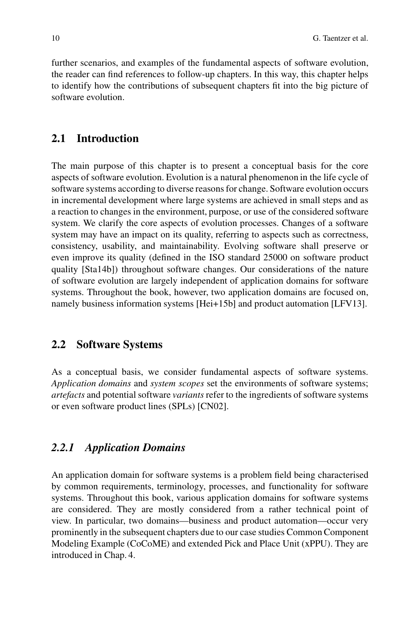further scenarios, and examples of the fundamental aspects of software evolution, the reader can find references to follow-up chapters. In this way, this chapter helps to identify how the contributions of subsequent chapters fit into the big picture of software evolution.

## **2.1 Introduction**

The main purpose of this chapter is to present a conceptual basis for the core aspects of software evolution. Evolution is a natural phenomenon in the life cycle of software systems according to diverse reasons for change. Software evolution occurs in incremental development where large systems are achieved in small steps and as a reaction to changes in the environment, purpose, or use of the considered software system. We clarify the core aspects of evolution processes. Changes of a software system may have an impact on its quality, referring to aspects such as correctness, consistency, usability, and maintainability. Evolving software shall preserve or even improve its quality (defined in the ISO standard 25000 on software product quality [Sta14b]) throughout software changes. Our considerations of the nature of software evolution are largely independent of application domains for software systems. Throughout the book, however, two application domains are focused on, namely business information systems [Hei+15b] and product automation [LFV13].

#### **2.2 Software Systems**

As a conceptual basis, we consider fundamental aspects of software systems. *Application domains* and *system scopes* set the environments of software systems; *artefacts* and potential software *variants* refer to the ingredients of software systems or even software product lines (SPLs) [CN02].

# *2.2.1 Application Domains*

An application domain for software systems is a problem field being characterised by common requirements, terminology, processes, and functionality for software systems. Throughout this book, various application domains for software systems are considered. They are mostly considered from a rather technical point of view. In particular, two domains—business and product automation—occur very prominently in the subsequent chapters due to our case studies Common Component Modeling Example (CoCoME) and extended Pick and Place Unit (xPPU). They are introduced in Chap. 4.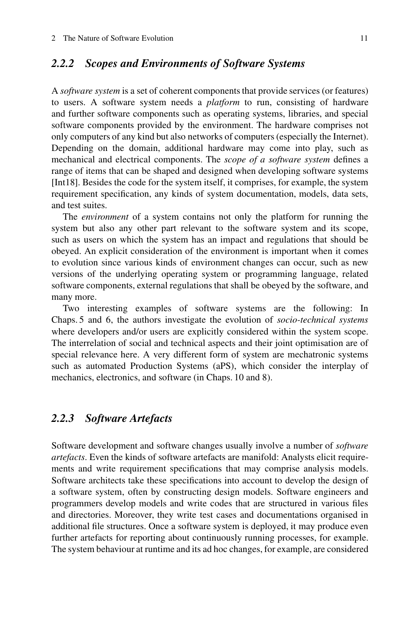#### *2.2.2 Scopes and Environments of Software Systems*

A *software system* is a set of coherent components that provide services (or features) to users. A software system needs a *platform* to run, consisting of hardware and further software components such as operating systems, libraries, and special software components provided by the environment. The hardware comprises not only computers of any kind but also networks of computers (especially the Internet). Depending on the domain, additional hardware may come into play, such as mechanical and electrical components. The *scope of a software system* defines a range of items that can be shaped and designed when developing software systems [Int18]. Besides the code for the system itself, it comprises, for example, the system requirement specification, any kinds of system documentation, models, data sets, and test suites.

The *environment* of a system contains not only the platform for running the system but also any other part relevant to the software system and its scope, such as users on which the system has an impact and regulations that should be obeyed. An explicit consideration of the environment is important when it comes to evolution since various kinds of environment changes can occur, such as new versions of the underlying operating system or programming language, related software components, external regulations that shall be obeyed by the software, and many more.

Two interesting examples of software systems are the following: In Chaps. 5 and 6, the authors investigate the evolution of *socio-technical systems* where developers and/or users are explicitly considered within the system scope. The interrelation of social and technical aspects and their joint optimisation are of special relevance here. A very different form of system are mechatronic systems such as automated Production Systems (aPS), which consider the interplay of mechanics, electronics, and software (in Chaps. 10 and 8).

## *2.2.3 Software Artefacts*

Software development and software changes usually involve a number of *software artefacts*. Even the kinds of software artefacts are manifold: Analysts elicit requirements and write requirement specifications that may comprise analysis models. Software architects take these specifications into account to develop the design of a software system, often by constructing design models. Software engineers and programmers develop models and write codes that are structured in various files and directories. Moreover, they write test cases and documentations organised in additional file structures. Once a software system is deployed, it may produce even further artefacts for reporting about continuously running processes, for example. The system behaviour at runtime and its ad hoc changes, for example, are considered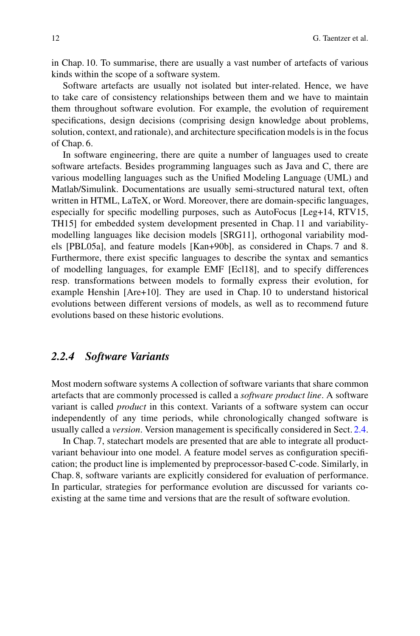in Chap. 10. To summarise, there are usually a vast number of artefacts of various kinds within the scope of a software system.

Software artefacts are usually not isolated but inter-related. Hence, we have to take care of consistency relationships between them and we have to maintain them throughout software evolution. For example, the evolution of requirement specifications, design decisions (comprising design knowledge about problems, solution, context, and rationale), and architecture specification models is in the focus of Chap. 6.

In software engineering, there are quite a number of languages used to create software artefacts. Besides programming languages such as Java and C, there are various modelling languages such as the Unified Modeling Language (UML) and Matlab/Simulink. Documentations are usually semi-structured natural text, often written in HTML, LaTeX, or Word. Moreover, there are domain-specific languages, especially for specific modelling purposes, such as AutoFocus [Leg+14, RTV15, TH15] for embedded system development presented in Chap. 11 and variabilitymodelling languages like decision models [SRG11], orthogonal variability models [PBL05a], and feature models [Kan+90b], as considered in Chaps. 7 and 8. Furthermore, there exist specific languages to describe the syntax and semantics of modelling languages, for example EMF [Ecl18], and to specify differences resp. transformations between models to formally express their evolution, for example Henshin [Are+10]. They are used in Chap. 10 to understand historical evolutions between different versions of models, as well as to recommend future evolutions based on these historic evolutions.

#### *2.2.4 Software Variants*

Most modern software systems A collection of software variants that share common artefacts that are commonly processed is called a *software product line*. A software variant is called *product* in this context. Variants of a software system can occur independently of any time periods, while chronologically changed software is usually called a *version*. Version management is specifically considered in Sect. [2.4.](#page-7-0)

In Chap. 7, statechart models are presented that are able to integrate all productvariant behaviour into one model. A feature model serves as configuration specification; the product line is implemented by preprocessor-based C-code. Similarly, in Chap. 8, software variants are explicitly considered for evaluation of performance. In particular, strategies for performance evolution are discussed for variants coexisting at the same time and versions that are the result of software evolution.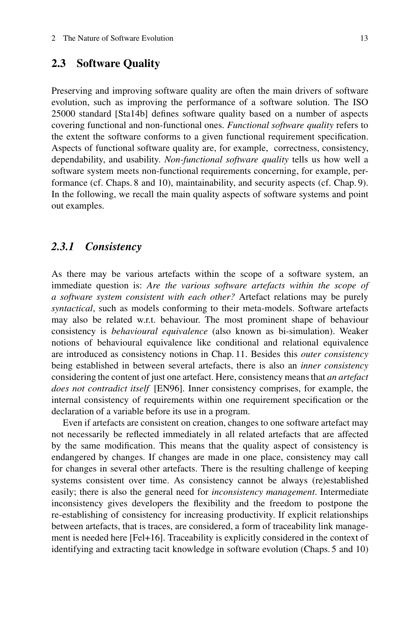# **2.3 Software Quality**

Preserving and improving software quality are often the main drivers of software evolution, such as improving the performance of a software solution. The ISO 25000 standard [Sta14b] defines software quality based on a number of aspects covering functional and non-functional ones. *Functional software quality* refers to the extent the software conforms to a given functional requirement specification. Aspects of functional software quality are, for example, correctness, consistency, dependability, and usability. *Non-functional software quality* tells us how well a software system meets non-functional requirements concerning, for example, performance (cf. Chaps. 8 and 10), maintainability, and security aspects (cf. Chap. 9). In the following, we recall the main quality aspects of software systems and point out examples.

#### *2.3.1 Consistency*

As there may be various artefacts within the scope of a software system, an immediate question is: *Are the various software artefacts within the scope of a software system consistent with each other?* Artefact relations may be purely *syntactical*, such as models conforming to their meta-models. Software artefacts may also be related w.r.t. behaviour. The most prominent shape of behaviour consistency is *behavioural equivalence* (also known as bi-simulation). Weaker notions of behavioural equivalence like conditional and relational equivalence are introduced as consistency notions in Chap. 11. Besides this *outer consistency* being established in between several artefacts, there is also an *inner consistency* considering the content of just one artefact. Here, consistency means that *an artefact does not contradict itself* [EN96]. Inner consistency comprises, for example, the internal consistency of requirements within one requirement specification or the declaration of a variable before its use in a program.

Even if artefacts are consistent on creation, changes to one software artefact may not necessarily be reflected immediately in all related artefacts that are affected by the same modification. This means that the quality aspect of consistency is endangered by changes. If changes are made in one place, consistency may call for changes in several other artefacts. There is the resulting challenge of keeping systems consistent over time. As consistency cannot be always (re)established easily; there is also the general need for *inconsistency management*. Intermediate inconsistency gives developers the flexibility and the freedom to postpone the re-establishing of consistency for increasing productivity. If explicit relationships between artefacts, that is traces, are considered, a form of traceability link management is needed here [Fel+16]. Traceability is explicitly considered in the context of identifying and extracting tacit knowledge in software evolution (Chaps. 5 and 10)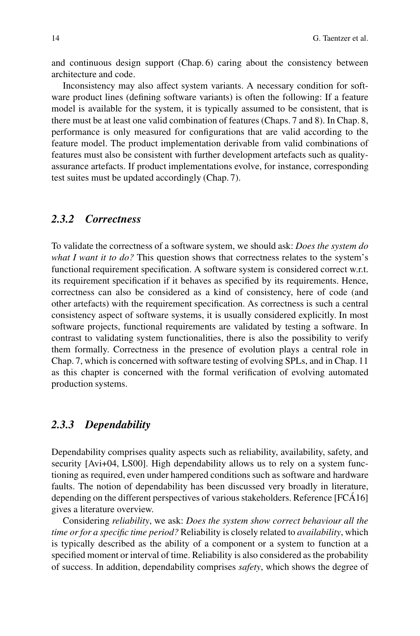and continuous design support (Chap. 6) caring about the consistency between architecture and code.

Inconsistency may also affect system variants. A necessary condition for software product lines (defining software variants) is often the following: If a feature model is available for the system, it is typically assumed to be consistent, that is there must be at least one valid combination of features (Chaps. 7 and 8). In Chap. 8, performance is only measured for configurations that are valid according to the feature model. The product implementation derivable from valid combinations of features must also be consistent with further development artefacts such as qualityassurance artefacts. If product implementations evolve, for instance, corresponding test suites must be updated accordingly (Chap. 7).

#### *2.3.2 Correctness*

To validate the correctness of a software system, we should ask: *Does the system do what I want it to do?* This question shows that correctness relates to the system's functional requirement specification. A software system is considered correct w.r.t. its requirement specification if it behaves as specified by its requirements. Hence, correctness can also be considered as a kind of consistency, here of code (and other artefacts) with the requirement specification. As correctness is such a central consistency aspect of software systems, it is usually considered explicitly. In most software projects, functional requirements are validated by testing a software. In contrast to validating system functionalities, there is also the possibility to verify them formally. Correctness in the presence of evolution plays a central role in Chap. 7, which is concerned with software testing of evolving SPLs, and in Chap. 11 as this chapter is concerned with the formal verification of evolving automated production systems.

#### *2.3.3 Dependability*

Dependability comprises quality aspects such as reliability, availability, safety, and security [Avi+04, LS00]. High dependability allows us to rely on a system functioning as required, even under hampered conditions such as software and hardware faults. The notion of dependability has been discussed very broadly in literature, depending on the different perspectives of various stakeholders. Reference [FCÁ16] gives a literature overview.

Considering *reliability*, we ask: *Does the system show correct behaviour all the time or for a specific time period?* Reliability is closely related to *availability*, which is typically described as the ability of a component or a system to function at a specified moment or interval of time. Reliability is also considered as the probability of success. In addition, dependability comprises *safety*, which shows the degree of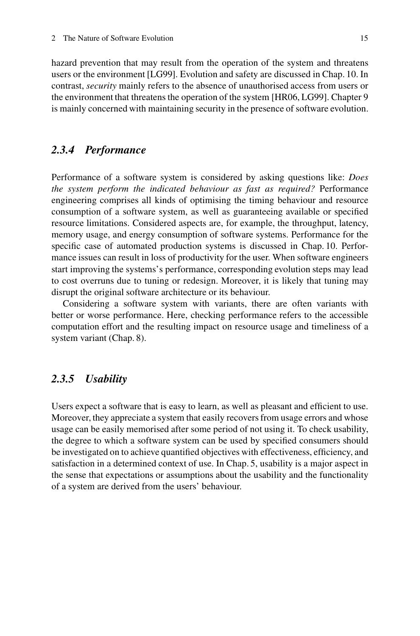hazard prevention that may result from the operation of the system and threatens users or the environment [LG99]. Evolution and safety are discussed in Chap. 10. In contrast, *security* mainly refers to the absence of unauthorised access from users or the environment that threatens the operation of the system [HR06, LG99]. Chapter 9 is mainly concerned with maintaining security in the presence of software evolution.

#### *2.3.4 Performance*

Performance of a software system is considered by asking questions like: *Does the system perform the indicated behaviour as fast as required?* Performance engineering comprises all kinds of optimising the timing behaviour and resource consumption of a software system, as well as guaranteeing available or specified resource limitations. Considered aspects are, for example, the throughput, latency, memory usage, and energy consumption of software systems. Performance for the specific case of automated production systems is discussed in Chap. 10. Performance issues can result in loss of productivity for the user. When software engineers start improving the systems's performance, corresponding evolution steps may lead to cost overruns due to tuning or redesign. Moreover, it is likely that tuning may disrupt the original software architecture or its behaviour.

Considering a software system with variants, there are often variants with better or worse performance. Here, checking performance refers to the accessible computation effort and the resulting impact on resource usage and timeliness of a system variant (Chap. 8).

# *2.3.5 Usability*

Users expect a software that is easy to learn, as well as pleasant and efficient to use. Moreover, they appreciate a system that easily recovers from usage errors and whose usage can be easily memorised after some period of not using it. To check usability, the degree to which a software system can be used by specified consumers should be investigated on to achieve quantified objectives with effectiveness, efficiency, and satisfaction in a determined context of use. In Chap. 5, usability is a major aspect in the sense that expectations or assumptions about the usability and the functionality of a system are derived from the users' behaviour.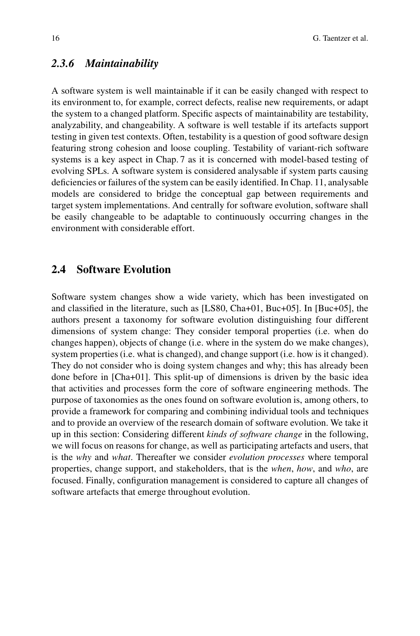# *2.3.6 Maintainability*

A software system is well maintainable if it can be easily changed with respect to its environment to, for example, correct defects, realise new requirements, or adapt the system to a changed platform. Specific aspects of maintainability are testability, analyzability, and changeability. A software is well testable if its artefacts support testing in given test contexts. Often, testability is a question of good software design featuring strong cohesion and loose coupling. Testability of variant-rich software systems is a key aspect in Chap. 7 as it is concerned with model-based testing of evolving SPLs. A software system is considered analysable if system parts causing deficiencies or failures of the system can be easily identified. In Chap. 11, analysable models are considered to bridge the conceptual gap between requirements and target system implementations. And centrally for software evolution, software shall be easily changeable to be adaptable to continuously occurring changes in the environment with considerable effort.

## <span id="page-7-0"></span>**2.4 Software Evolution**

Software system changes show a wide variety, which has been investigated on and classified in the literature, such as [LS80, Cha+01, Buc+05]. In [Buc+05], the authors present a taxonomy for software evolution distinguishing four different dimensions of system change: They consider temporal properties (i.e. when do changes happen), objects of change (i.e. where in the system do we make changes), system properties (i.e. what is changed), and change support (i.e. how is it changed). They do not consider who is doing system changes and why; this has already been done before in [Cha+01]. This split-up of dimensions is driven by the basic idea that activities and processes form the core of software engineering methods. The purpose of taxonomies as the ones found on software evolution is, among others, to provide a framework for comparing and combining individual tools and techniques and to provide an overview of the research domain of software evolution. We take it up in this section: Considering different *kinds of software change* in the following, we will focus on reasons for change, as well as participating artefacts and users, that is the *why* and *what*. Thereafter we consider *evolution processes* where temporal properties, change support, and stakeholders, that is the *when*, *how*, and *who*, are focused. Finally, configuration management is considered to capture all changes of software artefacts that emerge throughout evolution.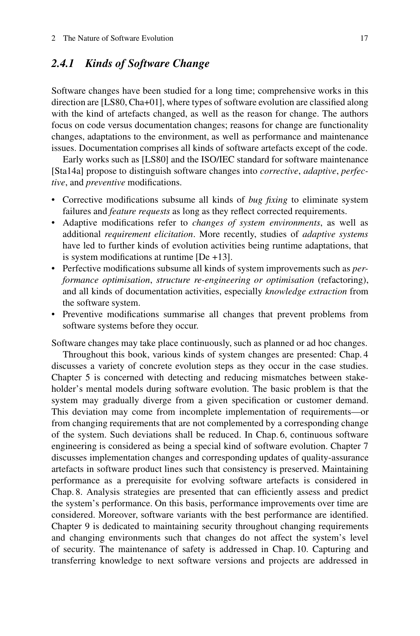#### *2.4.1 Kinds of Software Change*

Software changes have been studied for a long time; comprehensive works in this direction are [LS80, Cha+01], where types of software evolution are classified along with the kind of artefacts changed, as well as the reason for change. The authors focus on code versus documentation changes; reasons for change are functionality changes, adaptations to the environment, as well as performance and maintenance issues. Documentation comprises all kinds of software artefacts except of the code.

Early works such as [LS80] and the ISO/IEC standard for software maintenance [Sta14a] propose to distinguish software changes into *corrective*, *adaptive*, *perfective*, and *preventive* modifications.

- Corrective modifications subsume all kinds of *bug fixing* to eliminate system failures and *feature requests* as long as they reflect corrected requirements.
- Adaptive modifications refer to *changes of system environments*, as well as additional *requirement elicitation*. More recently, studies of *adaptive systems* have led to further kinds of evolution activities being runtime adaptations, that is system modifications at runtime [De +13].
- Perfective modifications subsume all kinds of system improvements such as *performance optimisation*, *structure re-engineering or optimisation* (refactoring), and all kinds of documentation activities, especially *knowledge extraction* from the software system.
- Preventive modifications summarise all changes that prevent problems from software systems before they occur.

Software changes may take place continuously, such as planned or ad hoc changes.

Throughout this book, various kinds of system changes are presented: Chap. 4 discusses a variety of concrete evolution steps as they occur in the case studies. Chapter 5 is concerned with detecting and reducing mismatches between stakeholder's mental models during software evolution. The basic problem is that the system may gradually diverge from a given specification or customer demand. This deviation may come from incomplete implementation of requirements—or from changing requirements that are not complemented by a corresponding change of the system. Such deviations shall be reduced. In Chap. 6, continuous software engineering is considered as being a special kind of software evolution. Chapter 7 discusses implementation changes and corresponding updates of quality-assurance artefacts in software product lines such that consistency is preserved. Maintaining performance as a prerequisite for evolving software artefacts is considered in Chap. 8. Analysis strategies are presented that can efficiently assess and predict the system's performance. On this basis, performance improvements over time are considered. Moreover, software variants with the best performance are identified. Chapter 9 is dedicated to maintaining security throughout changing requirements and changing environments such that changes do not affect the system's level of security. The maintenance of safety is addressed in Chap. 10. Capturing and transferring knowledge to next software versions and projects are addressed in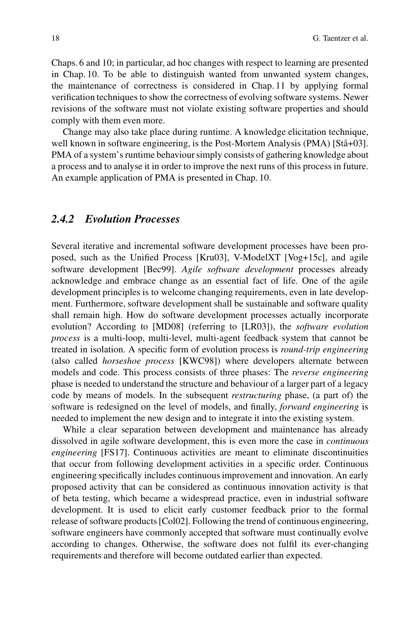Chaps. 6 and 10; in particular, ad hoc changes with respect to learning are presented in Chap. 10. To be able to distinguish wanted from unwanted system changes, the maintenance of correctness is considered in Chap. 11 by applying formal verification techniques to show the correctness of evolving software systems. Newer revisions of the software must not violate existing software properties and should comply with them even more.

Change may also take place during runtime. A knowledge elicitation technique, well known in software engineering, is the Post-Mortem Analysis (PMA) [Stå+03]. PMA of a system's runtime behaviour simply consists of gathering knowledge about a process and to analyse it in order to improve the next runs of this process in future. An example application of PMA is presented in Chap. 10.

#### *2.4.2 Evolution Processes*

Several iterative and incremental software development processes have been proposed, such as the Unified Process [Kru03], V-ModelXT [Vog+15c], and agile software development [Bec99]. *Agile software development* processes already acknowledge and embrace change as an essential fact of life. One of the agile development principles is to welcome changing requirements, even in late development. Furthermore, software development shall be sustainable and software quality shall remain high. How do software development processes actually incorporate evolution? According to [MD08] (referring to [LR03]), the *software evolution process* is a multi-loop, multi-level, multi-agent feedback system that cannot be treated in isolation. A specific form of evolution process is *round-trip engineering* (also called *horseshoe process* [KWC98]) where developers alternate between models and code. This process consists of three phases: The *reverse engineering* phase is needed to understand the structure and behaviour of a larger part of a legacy code by means of models. In the subsequent *restructuring* phase, (a part of) the software is redesigned on the level of models, and finally, *forward engineering* is needed to implement the new design and to integrate it into the existing system.

While a clear separation between development and maintenance has already dissolved in agile software development, this is even more the case in *continuous engineering* [FS17]. Continuous activities are meant to eliminate discontinuities that occur from following development activities in a specific order. Continuous engineering specifically includes continuous improvement and innovation. An early proposed activity that can be considered as continuous innovation activity is that of beta testing, which became a widespread practice, even in industrial software development. It is used to elicit early customer feedback prior to the formal release of software products [Col02]. Following the trend of continuous engineering, software engineers have commonly accepted that software must continually evolve according to changes. Otherwise, the software does not fulfil its ever-changing requirements and therefore will become outdated earlier than expected.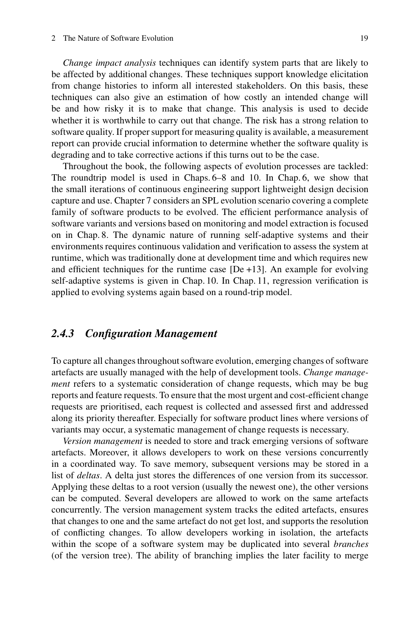*Change impact analysis* techniques can identify system parts that are likely to be affected by additional changes. These techniques support knowledge elicitation from change histories to inform all interested stakeholders. On this basis, these techniques can also give an estimation of how costly an intended change will be and how risky it is to make that change. This analysis is used to decide whether it is worthwhile to carry out that change. The risk has a strong relation to software quality. If proper support for measuring quality is available, a measurement report can provide crucial information to determine whether the software quality is degrading and to take corrective actions if this turns out to be the case.

Throughout the book, the following aspects of evolution processes are tackled: The roundtrip model is used in Chaps. 6–8 and 10. In Chap. 6, we show that the small iterations of continuous engineering support lightweight design decision capture and use. Chapter 7 considers an SPL evolution scenario covering a complete family of software products to be evolved. The efficient performance analysis of software variants and versions based on monitoring and model extraction is focused on in Chap. 8. The dynamic nature of running self-adaptive systems and their environments requires continuous validation and verification to assess the system at runtime, which was traditionally done at development time and which requires new and efficient techniques for the runtime case  $[De +13]$ . An example for evolving self-adaptive systems is given in Chap. 10. In Chap. 11, regression verification is applied to evolving systems again based on a round-trip model.

## *2.4.3 Configuration Management*

To capture all changes throughout software evolution, emerging changes of software artefacts are usually managed with the help of development tools. *Change management* refers to a systematic consideration of change requests, which may be bug reports and feature requests. To ensure that the most urgent and cost-efficient change requests are prioritised, each request is collected and assessed first and addressed along its priority thereafter. Especially for software product lines where versions of variants may occur, a systematic management of change requests is necessary.

*Version management* is needed to store and track emerging versions of software artefacts. Moreover, it allows developers to work on these versions concurrently in a coordinated way. To save memory, subsequent versions may be stored in a list of *deltas*. A delta just stores the differences of one version from its successor. Applying these deltas to a root version (usually the newest one), the other versions can be computed. Several developers are allowed to work on the same artefacts concurrently. The version management system tracks the edited artefacts, ensures that changes to one and the same artefact do not get lost, and supports the resolution of conflicting changes. To allow developers working in isolation, the artefacts within the scope of a software system may be duplicated into several *branches* (of the version tree). The ability of branching implies the later facility to merge